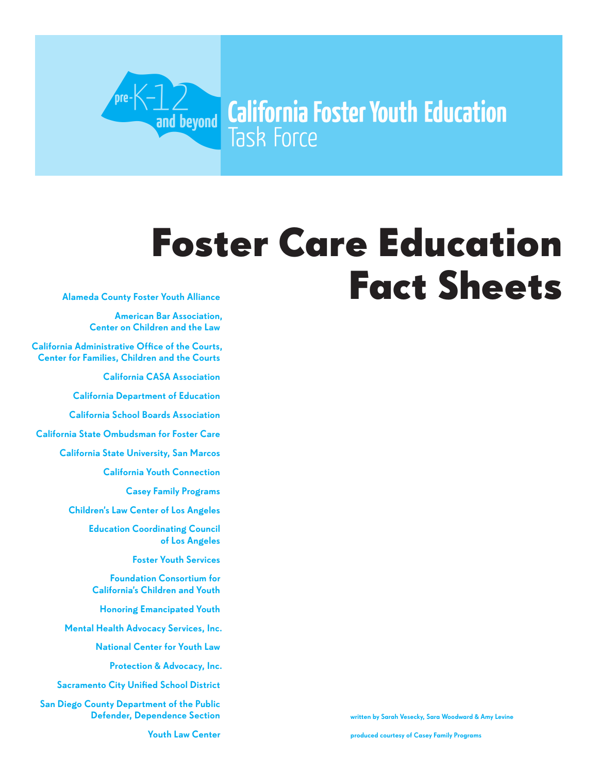# Foster Care Education

**California Foster Youth Education** 

Fact Sheets

Alameda County Foster Youth Alliance

American Bar Association, Center on Children and the Law

California Administrative Office of the Courts, Center for Families, Children and the Courts

.<br>Dre

 $\frac{1}{2}$  and beyond

Task Force

California CASA Association

California Department of Education

California School Boards Association

California State Ombudsman for Foster Care

California State University, San Marcos

California Youth Connection

Casey Family Programs

Children's Law Center of Los Angeles

Education Coordinating Council of Los Angeles

Foster Youth Services

Foundation Consortium for California's Children and Youth

Honoring Emancipated Youth

Mental Health Advocacy Services, Inc.

National Center for Youth Law

Protection & Advocacy, Inc.

Sacramento City Unified School District

San Diego County Department of the Public Defender, Dependence Section

written by Sarah Vesecky, Sara Woodward & Amy Levine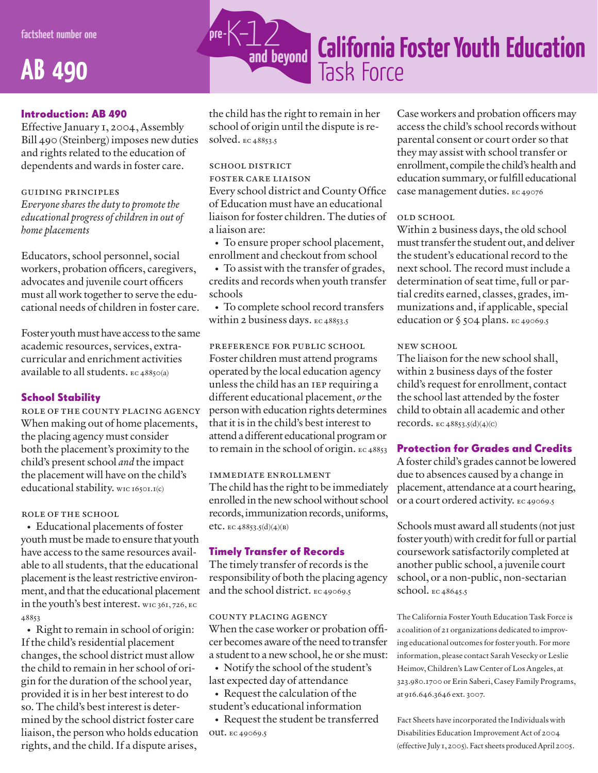### **AB 490**

#### Introduction: AB 490

Effective January 1, 2004, Assembly Bill 490 (Steinberg) imposes new duties and rights related to the education of dependents and wards in foster care.

#### guiding principles

*Everyone shares the duty to promote the educational progress ofchildren in out of home placements*

Educators, school personnel, social workers, probation officers, caregivers, advocates and juvenile court officers must all work together to serve the educational needs of children in foster care.

Foster youth must have access to the same academic resources, services, extracurricular and enrichment activities available to all students. ec 48850(a)

#### School Stability

role of the county placing agency When making out of home placements, the placing agency must consider both the placement's proximity to the child's present school *and* the impact the placement will have on the child's educational stability. wic 16501.1(c)

#### role of the school

• Educational placements of foster youth must be made to ensure that youth have access to the same resources available to all students, that the educational placement is the least restrictive environment, and that the educational placement in the youth's best interest. wic 361, 726, ec 48853

• Right to remain in school of origin: If the child's residential placement changes, the school district must allow the child to remain in her school of origin for the duration of the school year, provided it is in her best interest to do so. The child's best interest is determined by the school district foster care liaison, the person who holds education rights, and the child. If a dispute arises,



the child has the right to remain in her school of origin until the dispute is resolved. ec 48853.5

#### school district

foster care liaison

Every school district and County Office of Education must have an educational liaison for foster children. The duties of a liaison are:

• To ensure proper school placement, enrollment and checkout from school

• To assist with the transfer of grades, credits and records when youth transfer schools

• To complete school record transfers within 2 business days. ec 48853.5

#### preference for public school

Foster children must attend programs operated by the local education agency unless the child has an iep requiring a different educational placement, *or* the person with education rights determines that it is in the child's best interest to attend a different educational program or to remain in the school of origin. ec 48853

#### immediate enrollment

The child has the right to be immediately enrolled in the new school without school records, immunization records, uniforms, etc. ec 48853.5(d)(4)(b)

#### Timely Transfer of Records

The timely transfer of records is the responsibility of both the placing agency and the school district. ec 49069.5

#### county placing agency

When the case worker or probation officer becomes aware of the need to transfer a student to a new school, he or she must:

• Notify the school of the student's last expected day of attendance

• Request the calculation of the student's educational information

• Request the student be transferred out. ec 49069.5

Case workers and probation officers may access the child's school records without parental consent or court order so that they may assist with school transfer or enrollment, compile the child's health and education summary, or fulfill educational case management duties. ec 49076

#### old school

Within 2 business days, the old school must transfer the student out, and deliver the student's educational record to the next school. The record must include a determination of seat time, full or partial credits earned, classes, grades, immunizations and, if applicable, special education or § 504 plans. Ec 49069.5

#### NEW SCHOOL

The liaison for the new school shall, within 2 business days of the foster child's request for enrollment, contact the school last attended by the foster child to obtain all academic and other records. ec 48853.5(d)(4)(c)

#### Protection for Grades and Credits

Afoster child's grades cannot be lowered due to absences caused by a change in placement, attendance at a court hearing, or a court ordered activity. ec 49069.5

Schools must award all students (not just foster youth) with credit for full or partial coursework satisfactorily completed at another public school, a juvenile court school, or a non-public, non-sectarian school. ec 48645.5

The California Foster Youth Education Task Force is a coalition of 21 organizations dedicated to improving educational outcomes for foster youth. For more information, please contact Sarah Vesecky or Leslie Heimov, Children's Law Center of Los Angeles, at 323.980.1700 or Erin Saberi, Casey Family Programs, at 916.646.3646 ext. 3007.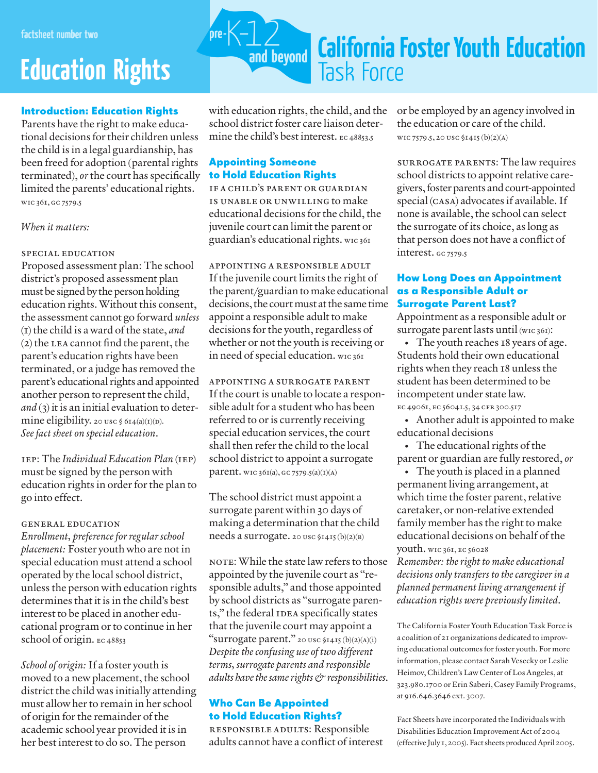### **Education Rights**

#### Introduction: Education Rights

Parents have the right to make educational decisions fortheir children unless the child is in a legal guardianship, has been freed for adoption (parental rights terminated), *or* the court has specifically limited the parents' educational rights. wic 361, gc 7579.5

#### *When it matters:*

#### special education

Proposed assessment plan: The school district's proposed assessment plan must be signed by the person holding education rights. Without this consent, the assessment cannot go forward *unless* (1) the child is a ward of the state, *and* (2) the lea cannot find the parent, the parent's education rights have been terminated, or a judge has removed the parent's educational rights and appointed another person to represent the child, *and* (3) it is an initial evaluation to determine eligibility. 20 usc  $\S$  614(a)(1)(b). *Seefact sheet on specialeducation*.

iep: The *Individual Education Plan* (iep) must be signed by the person with education rights in order for the plan to go into effect.

#### general education

*Enrollment, preferenceforregularschool placement:* Foster youth who are not in special education must attend a school operated by the local school district, unless the person with education rights determines that it is in the child's best interest to be placed in another educational program or to continue in her school of origin. EC 48853

*School of origin:* If a foster youth is moved to a new placement, the school district the child was initially attending must allow her to remain in her school of origin for the remainder of the academic school year provided it is in her best interest to do so. The person



with education rights, the child, and the school district foster care liaison determine the child's best interest. EC48853.5

#### Appointing Someone to Hold Education Rights

if a child's parent or guardian is unable or unwilling to make educational decisions for the child, the juvenile court can limit the parent or guardian's educational rights. wic 361

appointing a responsible adult If the juvenile court limits the right of the parent/guardian to make educational decisions, the court must at the same time appoint a responsible adult to make decisions for the youth, regardless of whether or not the youth is receiving or in need of special education. wic 361

appointing a surrogate parent If the court is unable to locate a responsible adult for a student who has been referred to or is currently receiving special education services, the court shall then refer the child to the local school district to appoint a surrogate parent. wic 361(a), gc 7579.5(a)(1)(a)

The school district must appoint a surrogate parent within 30 days of making a determination that the child needs a surrogate. 20 usc §1415 (b)(2)(b)

NOTE: While the state law refers to those appointed by the juvenile court as "responsible adults," and those appointed by school districts as "surrogate parents," the federal IDEA specifically states that the juvenile court may appoint a "surrogate parent." 20 usc §1415 (b)(2)(a)(i) *Despitetheconfusing use of two different terms, surrogate parents and responsible adults havethesamerights&responsibilities.*

#### Who Can Be Appointed to Hold Education Rights?

responsible adults: Responsible adults cannot have a conflict of interest or be employed by an agency involved in the education or care of the child. wic 7579.5, 20 usc §1415 (b)(2)(a)

surrogate parents: The law requires school districts to appoint relative caregivers, foster parents and court-appointed special (casa) advocates if available. If none is available, the school can select the surrogate of its choice, as long as that person does not have a conflict of interest. GC 7579.5

#### How Long Does an Appointment as a Responsible Adult or Surrogate Parent Last?

Appointment as a responsible adult or surrogate parent lasts until (wic 361):

• The youth reaches 18 years of age. Students hold their own educational rights when they reach 18 unless the student has been determined to be incompetent under state law. ec 49061, ec 56041.5, 34 cfr 300.517

• Another adult is appointed to make educational decisions

• The educational rights of the parent or guardian are fully restored, *or*

• The youth is placed in a planned permanent living arrangement, at which time the foster parent, relative caretaker, or non-relative extended family member has the right to make educational decisions on behalf of the youth. wic 361, ec 56028

*Remember: the right to make educational decisions only transfers to thecaregiverin a planned permanent living arrangement if education rights were previously limited.*

The California Foster Youth Education Task Force is a coalition of 21 organizations dedicated to improving educational outcomes for foster youth. For more information, please contact Sarah Vesecky or Leslie Heimov, Children's Law Center of Los Angeles, at 323.980.1700 or Erin Saberi, Casey Family Programs, at 916.646.3646 ext. 3007.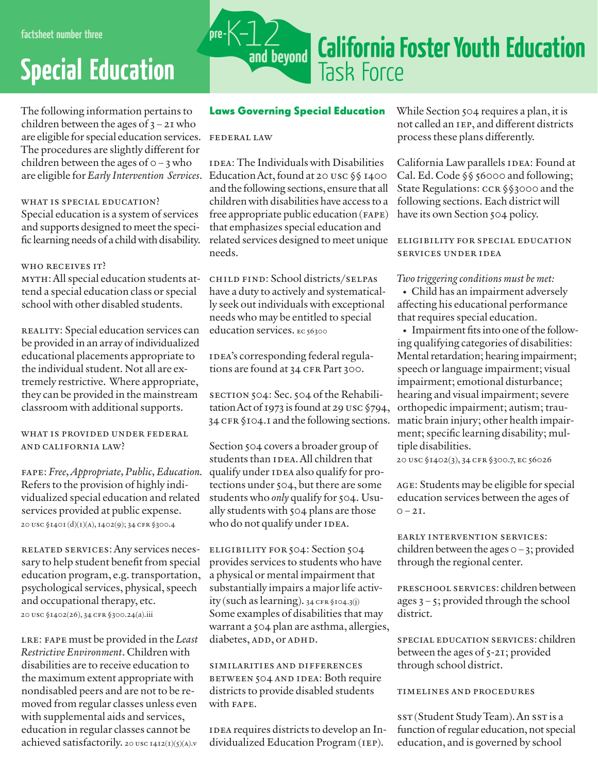## **Special Education**

The following information pertains to children between the ages of  $3 - 2I$  who are eligible for special education services. FEDERAL LAW The procedures are slightly different for children between the ages of  $o - 3$  who are eligible for *Early Intervention Services*.

#### WHAT IS SPECIAL EDUCATION?

Special education is a system of services and supports designed to meet the specific learning needs of a child with disability.

#### WHO RECEIVES IT?

myth:All special education students attend a special education class or special school with other disabled students.

REALITY: Special education services can be provided in an array of individualized educational placements appropriate to the individual student. Not all are extremely restrictive. Where appropriate, they can be provided in the mainstream classroom with additional supports.

#### what is provided under federal and california law?

fape: *Free,Appropriate, Public, Education.* Refers to the provision of highly individualized special education and related services provided at public expense. 20 usc §1401 (d)(1)(a), 1402(9); 34 cfr §300.4

related services:Any services necessary to help student benefit from special education program, e.g. transportation, psychological services, physical, speech and occupational therapy, etc. 20 usc §1402(26), 34 cfr §300.24(a).iii

lre: fape must be provided in the *Least Restrictive Environment*. Children with disabilities are to receive education to the maximum extent appropriate with nondisabled peers and are not to be removed from regular classes unless even with supplemental aids and services, education in regular classes cannot be achieved satisfactorily. 20 usc 1412(1)(5)(a).v



#### Laws Governing Special Education

IDEA: The Individuals with Disabilities Education Act, found at 20 USC  $\S$ § 1400 and the following sections, ensure that all children with disabilities have access to a free appropriate public education (fape) that emphasizes special education and related services designed to meet unique ELIGIBILITY FOR SPECIAL EDUCATION needs.

child find: School districts/selpas have a duty to actively and systematically seek out individuals with exceptional needs who may be entitled to special education services. EC 56300

IDEA's corresponding federal regulations are found at 34 CFR Part 300.

section 504: Sec. 504 of the Rehabilitation Act of 1973 is found at 29 USC  $$794$ , 34 CFR §104.1 and the following sections.

Section 504 covers a broader group of students than IDEA. All children that qualify under IDEA also qualify for protections under 504, but there are some students who *only* qualify for 504. Usually students with 504 plans are those who do not qualify under IDEA.

eligibility for 504: Section 504 provides services to students who have a physical or mental impairment that substantially impairs a major life activ $ity (such as learning).$   $34$  CFR §104.3(j) Some examples of disabilities that may warrant a 504 plan are asthma, allergies, diabetes, ADD, or ADHD.

similarities and differences between 504 and idea: Both require districts to provide disabled students with fape.

IDEA requires districts to develop an Individualized Education Program (iep).

While Section 504 requires a plan, it is not called an iep, and different districts process these plans differently.

California Law parallels IDEA: Found at Cal. Ed. Code §§ 56000 and following; State Regulations: CCR §§3000 and the following sections. Each district will have its own Section 504 policy.

services under idea

#### *Two triggering conditions must be met:*

• Child has an impairment adversely affecting his educational performance that requires special education.

• Impairment fits into one of the following qualifying categories of disabilities: Mental retardation; hearing impairment; speech or language impairment; visual impairment; emotional disturbance; hearing and visual impairment; severe orthopedic impairment; autism; traumatic brain injury; other health impairment; specific learning disability; multiple disabilities.

20 usc §1402(3), 34 cfr §300.7, ec 56026

age: Students may be eligible for special education services between the ages of  $0 - 2I$ .

early intervention services: children between the ages  $0-3$ ; provided through the regional center.

preschool services: childrenbetween ages 3 – 5; provided through the school district.

SPECIAL EDUCATION SERVICES: children between the ages of 5-21; provided through school district.

#### timelines and procedures

sst (Student Study Team). An sst is a function of regular education, not special education, and is governed by school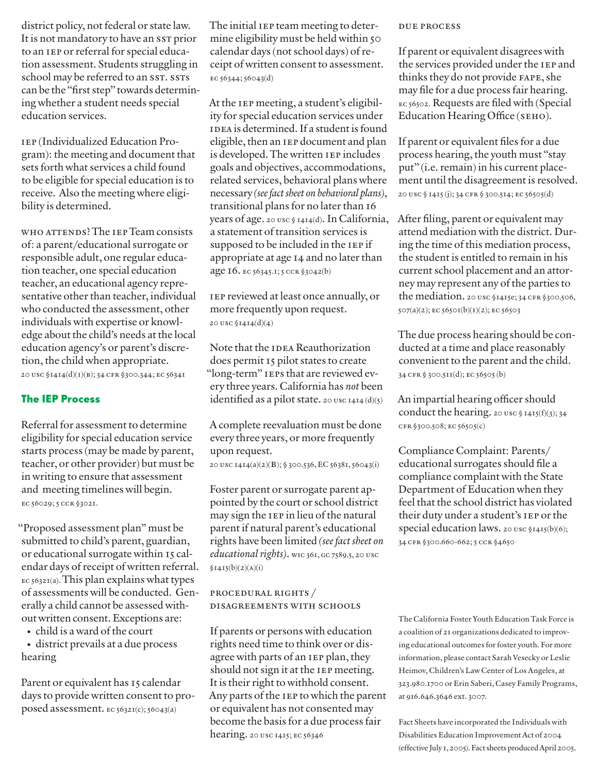district policy, not federal or state law. It is not mandatory to have an sst prior to an iep or referral for special education assessment. Students struggling in school may be referred to an SST. SSTS can be the "first step" towards determining whether a student needs special education services.

iep (Individualized Education Program): the meeting and document that sets forth what services a child found to be eligible for special education is to receive. Also the meeting where eligibility is determined.

who attends?The iepTeam consists of: a parent/educational surrogate or responsible adult, one regular education teacher, one special education teacher, an educational agency representative other than teacher, individual who conducted the assessment, other individuals with expertise or knowledge about the child's needs at the local education agency's or parent's discretion, the child when appropriate. 20 usc §1414(d)(1)(b); 34 cfr §300.344; ec 56341

#### The IEP Process

Referral for assessment to determine eligibility for special education service starts process (may be made by parent, teacher, or other provider) but must be in writing to ensure that assessment and meeting timelines will begin. ec 56029; 5 ccr §3021.

"Proposed assessment plan" must be submitted to child's parent, guardian, or educational surrogate within 15 calendar days of receipt of written referral. ec 56321(a).This plan explains what types of assessments will be conducted. Generally a child cannot be assessed without written consent.Exceptions are:

- child is a ward of the court
- district prevails at a due process hearing

Parent or equivalent has 15 calendar days to provide written consent to proposed assessment. ec 56321(c); 56043(a)

The initial IEP team meeting to determine eligibility must be held within 50 calendar days (not school days) of receipt of written consent to assessment. ec 56344; 56043(d)

At the iep meeting, a student's eligibility for special education services under IDEA is determined. If a student is found eligible, then an IEP document and plan is developed. The written iep includes goals and objectives, accommodations, related services, behavioral plans where necessary *(seefactsheet on behavioral plans)*, transitional plans for no later than 16 years of age. 20 usc § 1414(d). In California, a statement of transition services is supposed to be included in the IEP if appropriate at age 14 and no later than age 16. ec 56345.1; 5 ccr §3042(b)

iep reviewed at least once annually, or more frequently upon request. 20 usc §1414(d)(4)

Note that the IDEA Reauthorization does permit 15 pilot states to create "long-term" ieps that are reviewed every three years. California has *not* been identified as a pilot state. 20 usc  $1414 \, (d)(5)$ 

A complete reevaluation must be done every three years, or more frequently upon request.

20 usc 1414(a)(2)(b); § 300.536, EC 56381, 56043(i)

Foster parent or surrogate parent appointed by the court or school district may sign the iep in lieu of the natural parent if natural parent's educational rights have been limited *(seefact sheet on educational rights*). wic 361, GC 7589.5, 20 usc  $$1415(b)(2)(A)(i)$ 

#### procedural rights / disagreements with schools

If parents or persons with education rights need time to think over or disagree with parts of an iep plan, they should not sign it at the IEP meeting. It is their right to withhold consent. Any parts of the iep to which the parent or equivalent has not consented may become the basis for a due process fair hearing. 20 usc 1415; ec 56346

#### due process

If parent or equivalent disagrees with the services provided under the IEP and thinks they do not provide fape, she may file for a due process fair hearing. ec 56502. Requests are filed with (Special Education Hearing Office (seho).

If parent or equivalent files for a due process hearing, the youth must "stay put" (i.e. remain) in his current placement until the disagreement is resolved. 20 usc § 1415 (j); 34 cfr § 300.514; ec 56505(d)

After filing, parent or equivalent may attend mediation with the district. During the time of this mediation process, the student is entitled to remain in his current school placement and an attorney may represent any of the parties to the mediation. 20 usc §1415e; 34 CFR §300.506, 507(a)(2); ec 56501(b)(1)(2); ec 56503

The due process hearing should be conducted at a time and place reasonably convenient to the parent and the child. 34 cfr § 300.511(d); ec 56505 (b)

An impartial hearing officer should conduct the hearing. 20 usc § 1415(f)(3); 34 cfr §300.508; ec 56505(c)

Compliance Complaint: Parents/ educational surrogates should file a compliance complaint with the State Department of Education when they feel that the school district has violated their duty under a student's iep or the special education laws. 20 usc §1415(b)(6); 34 cfr §300.660-662; 5 ccr §4650

The California Foster Youth Education Task Force is a coalition of 21 organizations dedicated to improving educational outcomes for foster youth. For more information, please contact Sarah Vesecky or Leslie Heimov, Children's Law Center of Los Angeles, at 323.980.1700 or Erin Saberi, Casey Family Programs, at 916.646.3646 ext. 3007.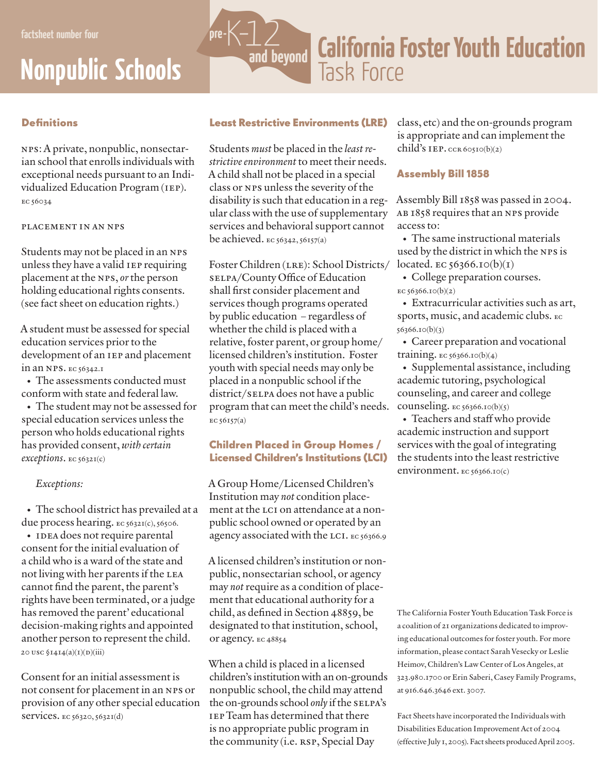## **Nonpublic Schools**

### **California Foster Youth Education** and beyond **Task Force**

#### **Definitions**

nps: A private, nonpublic, nonsectarian school that enrolls individuals with exceptional needs pursuant to an Individualized Education Program (iep). ec 56034

#### placement in an nps

Students may not be placed in an nps unless they have a valid iep requiring placement at the nps, *or* the person holding educational rights consents. (see fact sheet on education rights.)

A student must be assessed for special education services prior to the development of an iep and placement in an nps. ec 56342.1

• The assessments conducted must conform with state and federal law.

• The student may not be assessed for special education services unless the person who holds educational rights has provided consent, *with certain exceptions*. ec 56321(c)

#### *Exceptions:*

• The school district has prevailed at a due process hearing.  $EC 5632I(c)$ ,  $56506$ .

• IDEA does not require parental consent for the initial evaluation of a child who is a ward of the state and not living with her parents if the LEA cannot find the parent, the parent's rights have been terminated, or a judge has removed the parent' educational decision-making rights and appointed another person to represent the child. 20 USC  $\sqrt{1414(a)(1)(p)(iii)}$ 

Consent for an initial assessment is not consent for placement in an nps or provision of any other special education services. ec 56320, 56321(d)

#### Least Restrictive Environments (LRE)

'ore-K

Students *must* be placed in the *least restrictive environment* to meet their needs. A child shall not be placed in a special class or nps unless the severity of the disability is such that education in a regular class with the use of supplementary services and behavioral support cannot be achieved.  $\text{EC }$  56342, 56157(a)

Foster Children (LRE): School Districts/ selpa/County Office of Education shall first consider placement and services though programs operated by public education – regardless of whether the child is placed with a relative, foster parent, or group home/ licensed children's institution. Foster youth with special needs may only be placed in a nonpublic school if the district/sELPA does not have a public program that can meet the child's needs. ec 56157(a)

#### Children Placed in Group Homes / Licensed Children's Institutions (LCI)

A Group Home/Licensed Children's Institution may *not* condition placement at the LCI on attendance at a nonpublic school owned or operated by an agency associated with the LCI. EC 56366.9

A licensed children's institution or nonpublic, nonsectarian school, or agency may *not* require as a condition of placement that educational authority for a child, as defined in Section 48859, be designated to that institution, school, or agency. ec 48854

When a child is placed in a licensed children's institutionwith anon-grounds nonpublic school, the child may attend the on-grounds school only if the SELPA's iepTeam has determined that there is no appropriate public program in the community (i.e. RSP, Special Day

class, etc) and the on-grounds program is appropriate and can implement the child's IEP.  $ccR 60510(b)(2)$ 

#### Assembly Bill 1858

Assembly Bill 1858 was passed in 2004. ab 1858 requires that an nps provide access to:

• The same instructional materials used by the district in which the nps is located. EC  $56366.10(b)(1)$ 

• College preparation courses. ec 56366.10(b)(2)

• Extracurricular activities such as art, sports, music, and academic clubs. ec 56366.10(b)(3)

• Career preparation and vocational training. ec 56366.10(b)(4)

• Supplemental assistance, including academic tutoring, psychological counseling, and career and college counseling.  $\text{EC }$  56366.10(b)(5)

• Teachers and staff who provide academic instruction and support services with the goal of integrating the students into the least restrictive environment. EC 56366.10(c)

The California Foster Youth Education Task Force is a coalition of 21 organizations dedicated to improving educational outcomes for foster youth. For more information, please contact Sarah Vesecky or Leslie Heimov, Children's Law Center of Los Angeles, at 323.980.1700 or Erin Saberi, Casey Family Programs, at 916.646.3646 ext. 3007.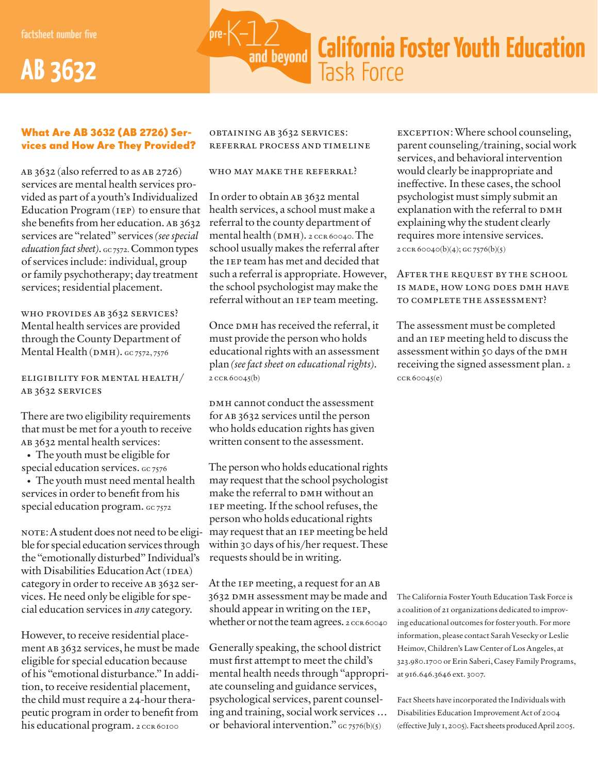**factsheet number five**





#### What Are AB 3632 (AB 2726) Services and How Are They Provided?

AB  $3632$  (also referred to as AB 2726) services are mental health services provided as part of a youth's Individualized Education Program (iep) to ensure that she benefits from her education. AB 3632 services are "related" services *(seespecial education fact sheet*). Gc 7572. Common types of services include: individual, group or family psychotherapy; day treatment services; residential placement.

who provides ab 3632 services? Mental health services are provided through the County Department of Mental Health ( $\text{DMH}$ ).  $\text{GC }$ 7572, 7576

#### eligibility for mental health/ ab 3632 services

There are two eligibility requirements that must be met for a youth to receive ab 3632 mental health services:

• The youth must be eligible for special education services. Gc 7576

• The youth must need mental health services in order to benefit from his special education program. Gc 7572

NOTE: A student does not need to be eligible for special education services through the "emotionally disturbed" Individual's with Disabilities Education Act (IDEA) category in order to receive AB 3632 services. He need only be eligible for special education services in *any* category.

However, to receive residential placement ab 3632 services, he must be made eligible for special education because of his "emotional disturbance." In addition, to receive residential placement, the child must require a 24-hour therapeutic program in order to benefit from his educational program. 2 CCR 60100

obtaining ab 3632 services: referral process and timeline

who may make the referral?

In order to obtain AB 3632 mental health services, a school must make a referral to the county department of mental health (DMH). 2 CCR 60040. The school usually makes the referral after the IEP team has met and decided that such a referral is appropriate. However, the school psychologist may make the referral without an iep team meeting.

Once DMH has received the referral, it must provide the person who holds educational rights with an assessment plan *(seefact sheet on educationalrights)*. 2 ccr 60045(b)

DMH cannot conduct the assessment for ab 3632 services until the person who holds education rights has given written consent to the assessment.

The person who holds educational rights may request that the school psychologist make the referral to DMH without an iep meeting. If the school refuses, the person who holds educational rights may request that an iep meeting be held within 30 days of his/her request. These requests should be in writing.

At the IEP meeting, a request for an AB 3632 DMH assessment may be made and should appear in writing on the IEP, whether or not the team agrees. 2 CCR 60040

Generally speaking, the school district must first attempt to meet the child's mental health needs through "appropriate counseling and guidance services, psychological services, parent counseling and training, social work services … or behavioral intervention."  $\frac{1}{2}$  cc 7576(b)(5)

exception:Where school counseling, parent counseling/training, social work services, and behavioral intervention would clearly be inappropriate and ineffective. In these cases, the school psychologist must simply submit an explanation with the referral to DMH explaining why the student clearly requires more intensive services. 2 CCR 60040(b)(4); GC 7576(b)(5)

After the request by the school is made, how long does dmh have to complete the assessment?

The assessment must be completed and an iep meeting held to discuss the assessment within 50 days of the DMH receiving the signed assessment plan. 2  $CCR\ 60045(e)$ 

The California Foster Youth Education Task Force is a coalition of 21 organizations dedicated to improving educational outcomes for foster youth. For more information, please contact Sarah Vesecky or Leslie Heimov, Children's Law Center of Los Angeles, at 323.980.1700 or Erin Saberi, Casey Family Programs, at 916.646.3646 ext. 3007.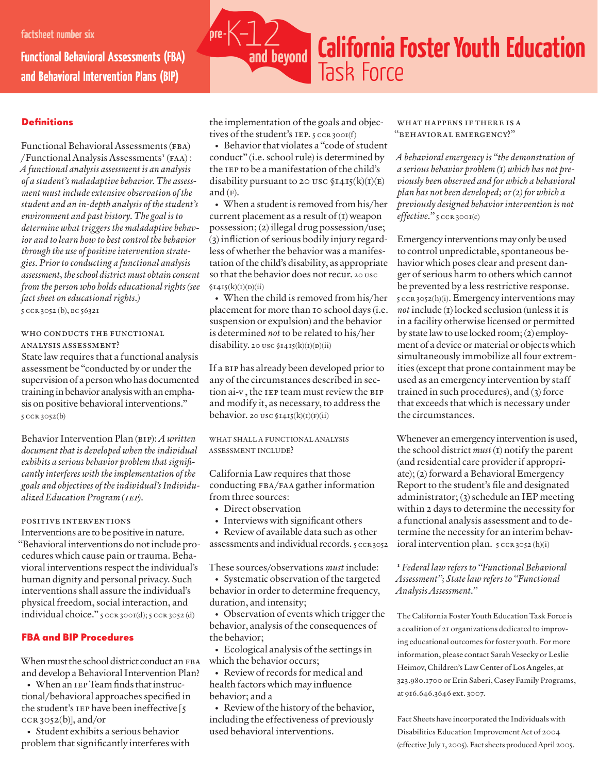**Functional Behavioral Assessments (FBA) and Behavioral Intervention Plans (BIP)**



#### **Definitions**

Functional Behavioral Assessments (FBA) /Functional Analysis Assessments**<sup>1</sup>** (faa) : *A functional analysis assessment is an analysis of a student's maladaptive behavior. The assessment must includeextensive observation of the student and an in-depth analysis of thestudent's environment and past history. The goal is to determine what triggers the maladaptive behavior and to learn how to bestcontrol the behavior through the use of positiveintervention strategies. Priorto conducting a functional analysis assessment,theschool district must obtain consent from the person who holds educational rights (see*  $f$ *act sheet* on *educational rights.*) 5 ccr 3052 (b), ec 56321

WHO CONDUCTS THE FUNCTIONAL analysis assessment?

State law requires that a functional analysis assessment be "conducted by or under the supervision of a person who has documented training inbehavior analysiswithanemphasis on positive behavioral interventions." 5 ccr 3052(b)

Behavior Intervention Plan (bip): *A written document that is developed when theindividual exhibits a serious behavior problem that significantly interferes with theimplementation of the goals and objectives of theindividual'sIndividualized Education Program (*iep*).*

#### positive interventions

Interventions are to be positive in nature. "Behavioral interventions do not include procedures which cause pain or trauma. Behavioral interventions respect the individual's human dignity and personal privacy. Such interventions shall assure the individual's physical freedom, social interaction, and individual choice." 5 CCR 3001(d); 5 CCR 3052 (d)

#### FBA and BIP Procedures

When must the school district conduct an FBA and develop a Behavioral Intervention Plan?

• When an IEP Team finds that instructional/behavioral approaches specified in the student's IEP have been ineffective [5]  $ccR3052(b)$ , and/or

• Student exhibits a serious behavior problem that significantly interferes with the implementation of the goals and objectives of the student's IEP. 5 CCR 300I(f)

• Behavior that violates a "code of student conduct" (i.e. school rule) is determined by the iep to be a manifestation of the child's disability pursuant to 20 usc  $$14I_5(k)(I)(E)$ and  $(F)$ .

• When a student is removed from his/her current placement as a result of  $(I)$  weapon possession; (2) illegal drug possession/use; (3) infliction of serious bodily injury regardless of whether the behavior was a manifestation of the child's disability, as appropriate so that the behavior does not recur. 20 usc  $$I4I5(k)(I)(D)(ii)$ 

• When the child is removed from his/her placement for more than 10 school days (i.e. suspension or expulsion) and the behavior is determined *not* to be related to his/her disability. 20 usc  $$1415(k)(1)(D)(ii)$ 

If a BIP has already been developed prior to any of the circumstances described in section ai-v , the iep team must review the bip and modify it, as necessary, to address the behavior. 20 usc  $$1415(k)(I)(F)(ii)$ 

WHAT SHALL A FUNCTIONAL ANALYSIS ASSESSMENT INCLUDE?

California Law requires that those conducting fba/faa gather information from three sources:

- Direct observation
- Interviews with significant others
- Review of available data such as other assessments and individual records. 5 ccR3052

These sources/observations *must* include: • Systematic observation of the targeted behavior in order to determine frequency, duration, and intensity;

• Observation of events which trigger the behavior, analysis of the consequences of the behavior;

• Ecological analysis of the settings in which the behavior occurs:

• Review of records for medical and health factors which may influence behavior; and a

• Review of the history of the behavior, including the effectiveness of previously used behavioral interventions.

#### what happens if there is a "behavioral emergency?"

*A behavioralemergency is "the demonstration of a serious behavior problem (1) which has not previously been observed and for which a behavioral plan has not been developed; or(2) for which a previously designed behaviorintervention is not effective.*" 5 ccR 3001(c)

Emergency interventions may only be used to control unpredictable, spontaneous behavior which poses clear and present danger of serious harm to others which cannot be prevented by a less restrictive response.  $5$  ccr  $3052(h)(i)$ . Emergency interventions may *not* include (1) locked seclusion (unless it is in a facility otherwise licensed or permitted by state lawto use locked room;(2) employment of a device or material or objects which simultaneously immobilize all four extremities (except that prone containment may be used as an emergency intervention by staff trained in such procedures), and (3) force that exceeds that which is necessary under the circumstances.

Whenever an emergency intervention is used, the school district *must* (1) notify the parent (and residential care provider if appropriate); (2) forward a Behavioral Emergency Report to the student's file and designated administrator; (3) schedule an IEP meeting within 2 days to determine the necessity for a functional analysis assessment and to determine the necessity for an interim behavioral intervention plan.  $5 \text{ ccR } 3052 \text{ (h)(i)}$ 

#### **<sup>1</sup>** *Federal law refers to "Functional Behavioral Assessment"; Statelaw refers to "Functional Analysis Assessment."*

The California Foster Youth Education Task Force is a coalition of 21 organizations dedicated to improving educational outcomes for foster youth. For more information, please contact Sarah Vesecky or Leslie Heimov, Children's Law Center of Los Angeles, at 323.980.1700 or Erin Saberi, Casey Family Programs, at 916.646.3646 ext. 3007.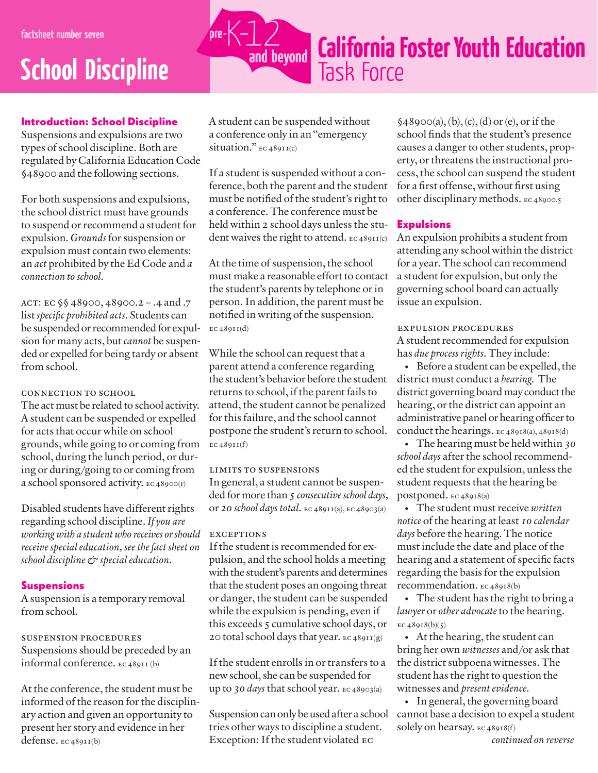### **School Discipline**

#### Introduction: School Discipline

Suspensions and expulsions are two types of school discipline. Both are regulated by CaliforniaEducation Code §48900 and the following sections.

For both suspensions and expulsions, the school district must have grounds to suspend or recommend a student for expulsion.*Grounds* for suspension or expulsion must contain two elements: an *act* prohibited by the Ed Code and *a connection to school.*

act: ec §§ 48900, 48900.2 – .4 and .7 list*specific prohibited acts*. Students can be suspended or recommended for expulsion for many acts, but*cannot* be suspended or expelled for being tardy or absent from school.

connection to school

The act must be related to school activity. A student can be suspended or expelled for acts that occur while on school grounds, while going to or coming from school, during the lunch period, or during or during/going to or coming from a school sponsored activity. ec 48900(r)

Disabled students have different rights regarding school discipline.*If you are working with a student who receives orshould receive special education, see the fact sheet on school discipline & special education.*

#### Suspensions

A suspension is a temporary removal from school.

#### suspension procedures Suspensions should be preceded by an informal conference. ec 48911 (b)

At the conference, the student must be informed of the reason for the disciplinary action and given an opportunity to present her story and evidence in her defense. ec 48911(b)

A student can be suspended without a conference only in an "emergency situation." ec 48911(c)

If a student is suspended without a conference, both the parent and the student must be notified of the student's right to a conference.The conference must be held within 2 school days unless the student waives the right to attend. ec 48911(c)

At the time of suspension, the school must make a reasonable effort to contact the student's parents by telephone or in person. In addition, the parent must be notified in writing of the suspension.  $EC 48911(d)$ 

While the school can request that a parent attend a conference regarding the student's behavior before the student returns to school, if the parent fails to attend, the student cannot be penalized forthis failure, and the school cannot postpone the student's return to school.  $EC 48911(f)$ 

limits to suspensions In general, a student cannot be suspended for more than 5 consecutive school days, or *20 school days total.* ec 48911(a), ec 48903(a)

#### **EXCEPTIONS**

If the student is recommended for expulsion, and the school holds a meeting with the student's parents and determines that the student poses an ongoing threat or danger, the student can be suspended while the expulsion is pending, even if this exceeds 5 cumulative school days, or 20 total school days that year. ec 48911(g)

If the student enrolls in or transfers to a new school, she can be suspended for up to *30 days* that school year. ec 48903(a)

Suspension can only be used after a school tries other ways to discipline a student. Exception: If the student violated ec

 $$48900(a), (b), (c), (d) \text{ or } (e), \text{ or if the}$ school finds that the student's presence causes a danger to other students, property, or threatens the instructional process, the school can suspend the student for a first offense, without first using other disciplinary methods. ec 48900.5

#### **Expulsions**

An expulsion prohibits a student from attending any school within the district for a year. The school can recommend a student for expulsion, but only the governing school board can actually issue an expulsion.

expulsion procedures A student recommended for expulsion has *due process rights*. They include:

• Before a student can be expelled, the district must conduct a *hearing*. The district governing board may conduct the hearing, or the district can appoint an administrative panel or hearing officerto conduct the hearings. ec 48918(a), 48918(d)

• The hearing must be held within *30* school days after the school recommended the student for expulsion, unless the student requests that the hearing be postponed. ec 48918(a)

• The student mustreceive *written notice* of the hearing at least *10 calendar*  days before the hearing. The notice must include the date and place of the hearing and a statement of specific facts regarding the basis for the expulsion recommendation. ec 48918(b)

• The student has the right to bring a *lawyer* or *other advocate*to the hearing. EC  $48918(b)(5)$ 

• At the hearing, the student can bring her own *witnesses* and/or ask that the district subpoena witnesses.The student has the right to question the witnesses and *present evidence*.

• In general, the governing board cannot base a decision to expel a student solely on hearsay. ec 48918(f)

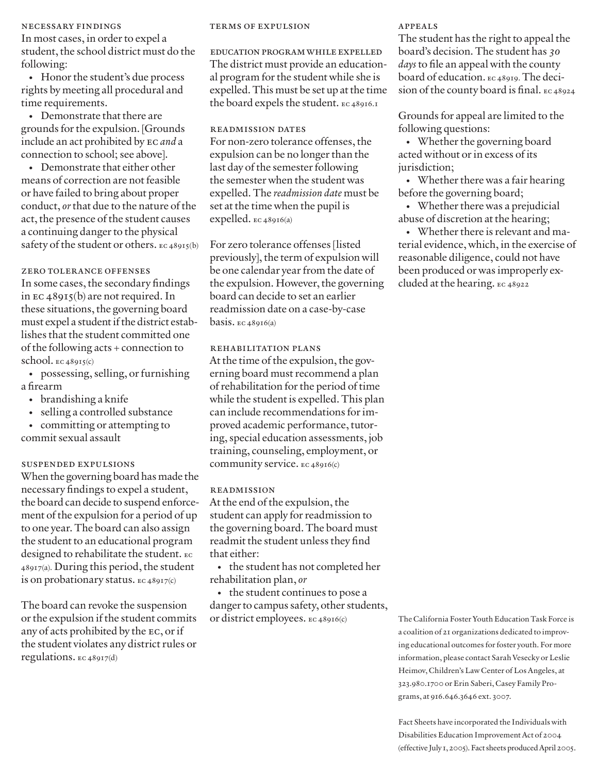#### necessary findings

In most cases, in order to expel a student, the school district must do the following:

• Honor the student's due process rights by meeting all procedural and time requirements.

• Demonstrate that there are grounds forthe expulsion. [Grounds include an act prohibited by ec *and* a connection to school; see above].

• Demonstrate that either other means of correction are not feasible or have failed to bring about proper conduct, *or*that due to the nature of the act, the presence of the student causes a continuing danger to the physical safety of the student or others. EC 48915(b)

#### zero tolerance offenses

In some cases, the secondary findings in  $\text{EC } 48915(b)$  are not required. In these situations, the governing board must expel a student if the district establishes that the student committed one of the following acts + connection to school.  $EC 48915(c)$ 

• possessing, selling, or furnishing a firearm

- brandishing a knife
- selling a controlled substance
- committing or attempting to commit sexual assault

#### suspended expulsions

When the governing board has made the necessary findings to expel a student, the board can decide to suspend enforcement of the expulsion for a period of up to one year.The board can also assign the student to an educational program designed to rehabilitate the student. ec 48917(a). During this period, the student is on probationary status. ec 48917(c)

The board can revoke the suspension orthe expulsion if the student commits any of acts prohibited by the EC, or if the student violates any district rules or regulations. ec 48917(d)

#### terms of expulsion

EDUCATION PROGRAM WHILE EXPELLED The district must provide an educational program for the student while she is expelled. This must be set up at the time the board expels the student. ec 48916.1

readmission dates For non-zero tolerance offenses, the expulsion can be no longer than the last day of the semester following the semester when the student was expelled. The *readmission date* must be set at the time when the pupil is expelled. ec 48916(a)

For zero tolerance offenses [listed previously], the term of expulsion will be one calendar year from the date of the expulsion. However, the governing board can decide to set an earlier readmission date on a case-by-case basis.  $EC 48916(a)$ 

#### rehabilitation plans

At the time of the expulsion, the governing board must recommend a plan ofrehabilitation forthe period of time while the student is expelled.This plan can include recommendations forimproved academic performance, tutoring, special education assessments, job training, counseling, employment, or community service. ec 48916(c)

#### readmission

At the end of the expulsion, the student can apply for readmission to the governing board. The board must readmit the student unless they find that either:

• the student has not completed her rehabilitation plan, *or*

• the student continues to pose a danger to campus safety, other students, or district employees. ec 48916(c)

#### appeals

The student has the right to appeal the board's decision. The student has *30 days* to file an appeal with the county board of education. ec 48919. The decision of the county board is final. ec 48924

Grounds for appeal are limited to the following questions:

• Whether the governing board acted without or in excess of its jurisdiction;

• Whether there was a fair hearing before the governing board;

• Whether there was a prejudicial abuse of discretion at the hearing;

• Whether there is relevant and material evidence, which, in the exercise of reasonable diligence, could not have been produced or was improperly excluded at the hearing. ec 48922

The California Foster Youth Education Task Force is a coalition of 21 organizations dedicated to improving educational outcomes for foster youth. For more information, please contact Sarah Vesecky or Leslie Heimov, Children's Law Center of Los Angeles, at 323.980.1700 or Erin Saberi, Casey Family Programs, at 916.646.3646 ext. 3007.